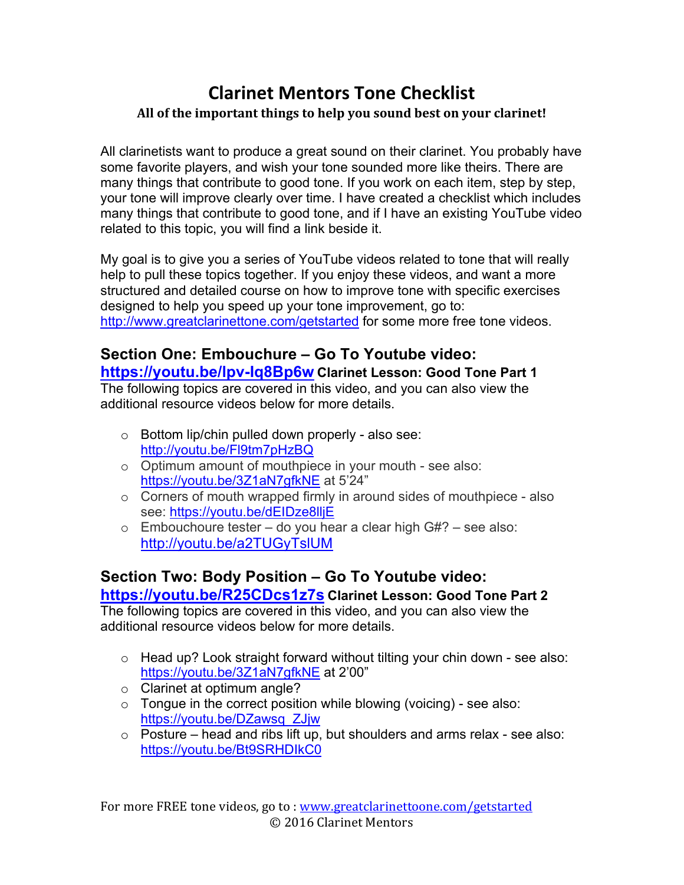# **Clarinet Mentors Tone Checklist** All of the important things to help you sound best on your clarinet!

All clarinetists want to produce a great sound on their clarinet. You probably have some favorite players, and wish your tone sounded more like theirs. There are many things that contribute to good tone. If you work on each item, step by step, your tone will improve clearly over time. I have created a checklist which includes many things that contribute to good tone, and if I have an existing YouTube video related to this topic, you will find a link beside it.

My goal is to give you a series of YouTube videos related to tone that will really help to pull these topics together. If you enjoy these videos, and want a more structured and detailed course on how to improve tone with specific exercises designed to help you speed up your tone improvement, go to: http://www.greatclarinettone.com/getstarted for some more free tone videos.

## **Section One: Embouchure – Go To Youtube video:**

#### **https://youtu.be/lpv-Iq8Bp6w Clarinet Lesson: Good Tone Part 1**

The following topics are covered in this video, and you can also view the additional resource videos below for more details.

- $\circ$  Bottom lip/chin pulled down properly also see: http://youtu.be/Fl9tm7pHzBQ
- o Optimum amount of mouthpiece in your mouth see also: https://youtu.be/3Z1aN7gfkNE at 5'24"
- o Corners of mouth wrapped firmly in around sides of mouthpiece also see: https://youtu.be/dEIDze8lljE
- $\circ$  Embouchoure tester do you hear a clear high  $\frac{G}{H}$ ? see also: http://youtu.be/a2TUGyTslUM

### **Section Two: Body Position – Go To Youtube video:**

#### **https://youtu.be/R25CDcs1z7s Clarinet Lesson: Good Tone Part 2**

The following topics are covered in this video, and you can also view the additional resource videos below for more details.

- o Head up? Look straight forward without tilting your chin down see also: https://youtu.be/3Z1aN7gfkNE at 2'00"
- o Clarinet at optimum angle?
- $\circ$  Tongue in the correct position while blowing (voicing) see also: https://youtu.be/DZawsq\_ZJjw
- $\circ$  Posture head and ribs lift up, but shoulders and arms relax see also: https://youtu.be/Bt9SRHDIkC0